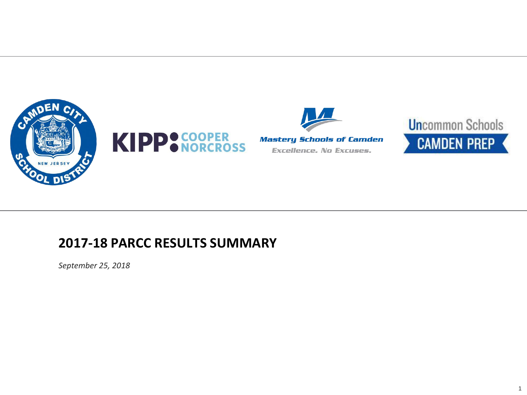





## **2017-18 PARCC RESULTS SUMMARY**

*September 25, 2018*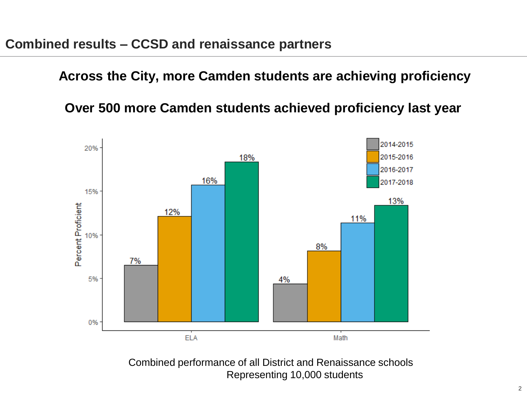**Across the City, more Camden students are achieving proficiency**

**Over 500 more Camden students achieved proficiency last year**



**CONFIDENTIAL Representing 10,000 students** Combined performance of all District and Renaissance schools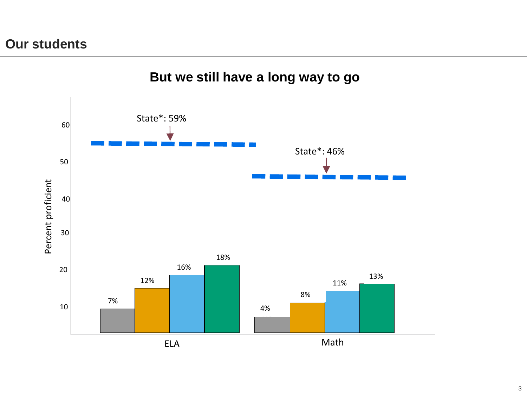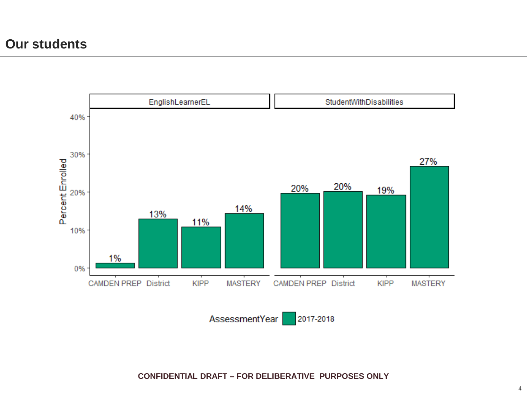### **Our students**



AssessmentYear 2017-2018

**CONFIDENTIAL DRAFT – FOR DELIBERATIVE PURPOSES ONLY**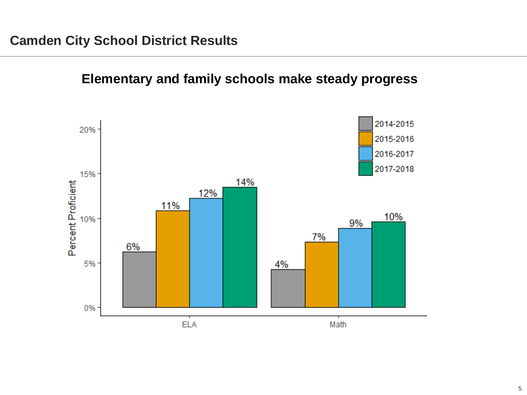

## **Elementary and family schools make steady progress**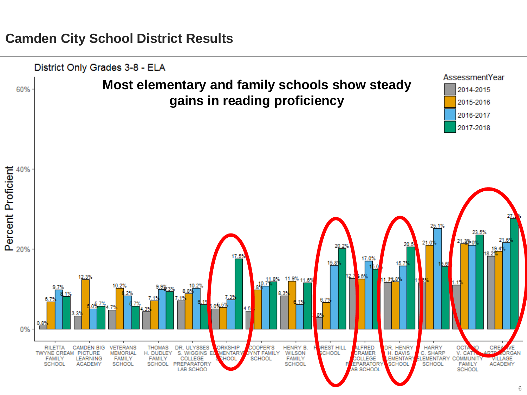#### **Camden City School District Results**

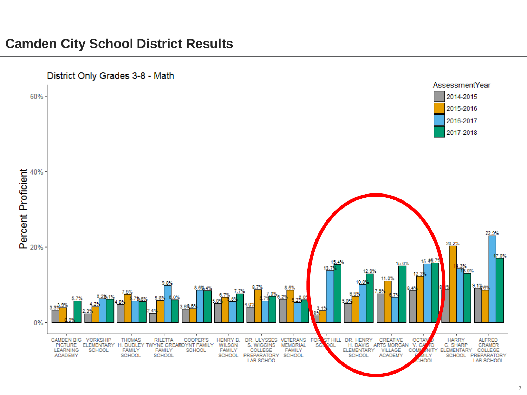## **Camden City School District Results**

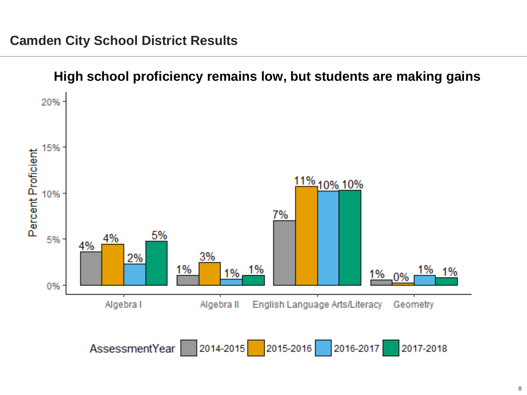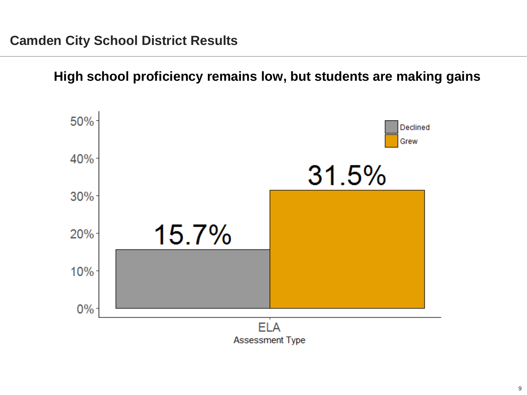**High school proficiency remains low, but students are making gains** 

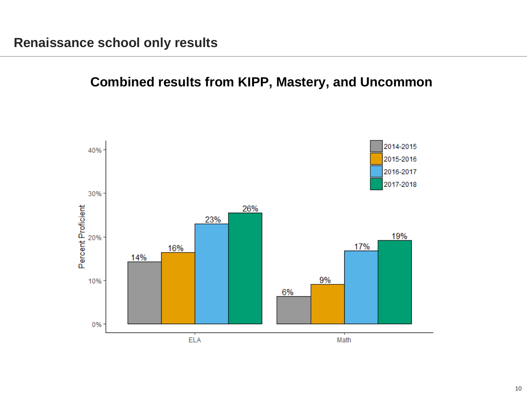# **Combined results from KIPP, Mastery, and Uncommon**

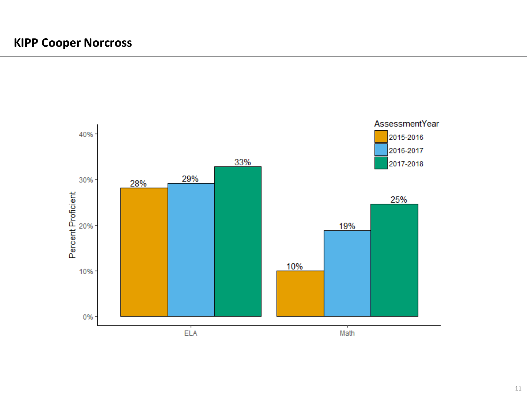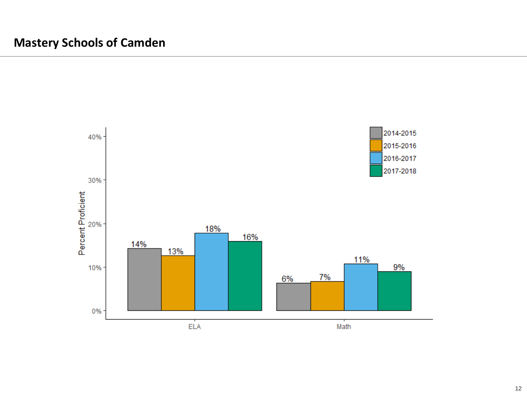